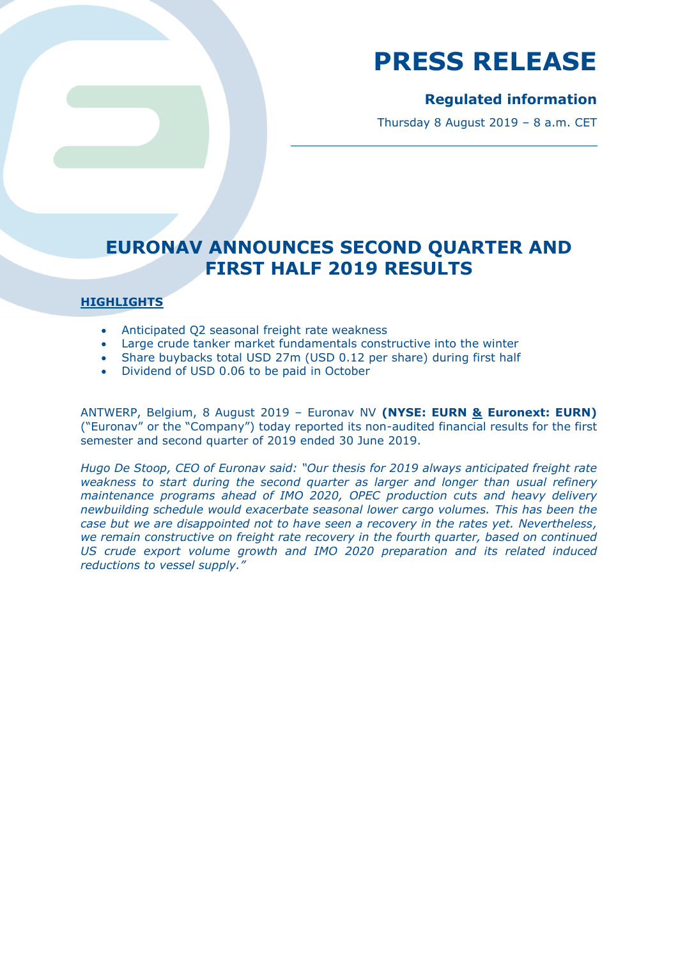## **Regulated information**

Thursday 8 August 2019 – 8 a.m. CET

## **EURONAV ANNOUNCES SECOND QUARTER AND FIRST HALF 2019 RESULTS**

#### **HIGHLIGHTS**

- Anticipated Q2 seasonal freight rate weakness
- Large crude tanker market fundamentals constructive into the winter
- Share buybacks total USD 27m (USD 0.12 per share) during first half
- Dividend of USD 0.06 to be paid in October

ANTWERP, Belgium, 8 August 2019 – Euronav NV **(NYSE: EURN & Euronext: EURN)**  ("Euronav" or the "Company") today reported its non-audited financial results for the first semester and second quarter of 2019 ended 30 June 2019.

*Hugo De Stoop, CEO of Euronav said: "Our thesis for 2019 always anticipated freight rate weakness to start during the second quarter as larger and longer than usual refinery maintenance programs ahead of IMO 2020, OPEC production cuts and heavy delivery newbuilding schedule would exacerbate seasonal lower cargo volumes. This has been the case but we are disappointed not to have seen a recovery in the rates yet. Nevertheless, we remain constructive on freight rate recovery in the fourth quarter, based on continued US crude export volume growth and IMO 2020 preparation and its related induced reductions to vessel supply."*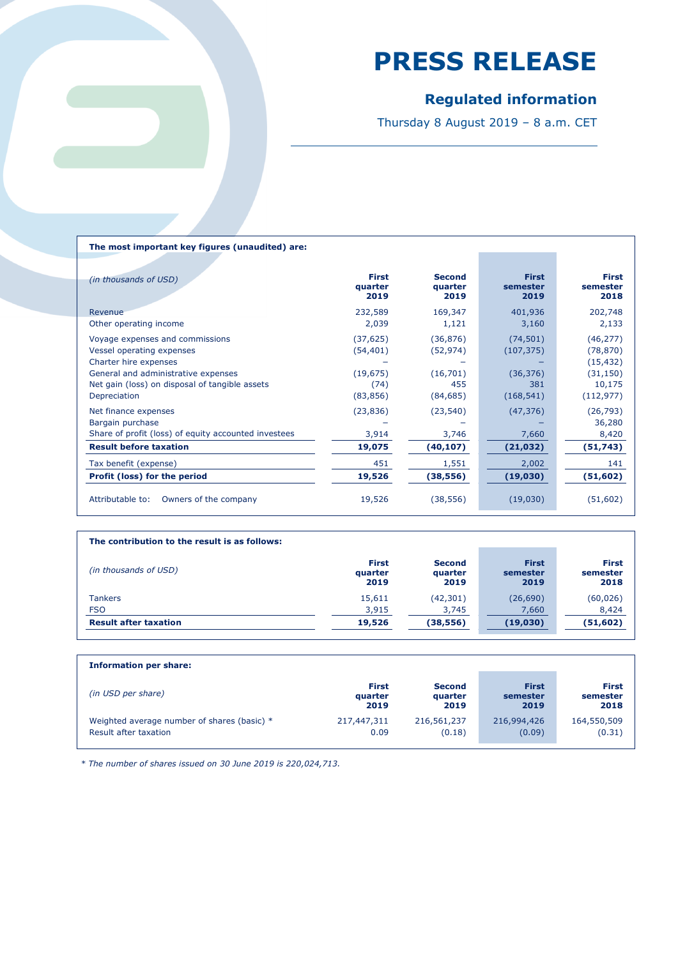## **Regulated information**

Thursday 8 August 2019 – 8 a.m. CET

| The most important key figures (unaudited) are:                                                                                                                                                                                                                                                    |                                                                                |                                                                              |                                                                                 |                                                                                                          |
|----------------------------------------------------------------------------------------------------------------------------------------------------------------------------------------------------------------------------------------------------------------------------------------------------|--------------------------------------------------------------------------------|------------------------------------------------------------------------------|---------------------------------------------------------------------------------|----------------------------------------------------------------------------------------------------------|
| (in thousands of USD)                                                                                                                                                                                                                                                                              | <b>First</b><br>quarter<br>2019                                                | <b>Second</b><br>quarter<br>2019                                             | <b>First</b><br>semester<br>2019                                                | <b>First</b><br>semester<br>2018                                                                         |
| Revenue                                                                                                                                                                                                                                                                                            | 232,589                                                                        | 169,347                                                                      | 401,936                                                                         | 202,748                                                                                                  |
| Other operating income                                                                                                                                                                                                                                                                             | 2,039                                                                          | 1,121                                                                        | 3,160                                                                           | 2,133                                                                                                    |
| Voyage expenses and commissions<br>Vessel operating expenses<br>Charter hire expenses<br>General and administrative expenses<br>Net gain (loss) on disposal of tangible assets<br>Depreciation<br>Net finance expenses<br>Bargain purchase<br>Share of profit (loss) of equity accounted investees | (37, 625)<br>(54, 401)<br>(19, 675)<br>(74)<br>(83, 856)<br>(23, 836)<br>3,914 | (36, 876)<br>(52, 974)<br>(16,701)<br>455<br>(84, 685)<br>(23, 540)<br>3,746 | (74, 501)<br>(107, 375)<br>(36, 376)<br>381<br>(168, 541)<br>(47, 376)<br>7,660 | (46, 277)<br>(78, 870)<br>(15, 432)<br>(31, 150)<br>10,175<br>(112, 977)<br>(26, 793)<br>36,280<br>8,420 |
| <b>Result before taxation</b>                                                                                                                                                                                                                                                                      | 19,075                                                                         | (40, 107)                                                                    | (21,032)                                                                        | (51, 743)                                                                                                |
| Tax benefit (expense)                                                                                                                                                                                                                                                                              | 451                                                                            | 1,551                                                                        | 2,002                                                                           | 141                                                                                                      |
| <b>Profit (loss) for the period</b>                                                                                                                                                                                                                                                                | 19,526                                                                         | (38, 556)                                                                    | (19,030)                                                                        | (51,602)                                                                                                 |
| Attributable to:<br>Owners of the company                                                                                                                                                                                                                                                          | 19,526                                                                         | (38, 556)                                                                    | (19,030)                                                                        | (51,602)                                                                                                 |

| The contribution to the result is as follows: |                                 |                                  |                                  |                           |
|-----------------------------------------------|---------------------------------|----------------------------------|----------------------------------|---------------------------|
| (in thousands of USD)                         | <b>First</b><br>quarter<br>2019 | <b>Second</b><br>quarter<br>2019 | <b>First</b><br>semester<br>2019 | First<br>semester<br>2018 |
| <b>Tankers</b>                                | 15,611                          | (42, 301)                        | (26, 690)                        | (60, 026)                 |
| <b>FSO</b>                                    | 3,915                           | 3,745                            | 7,660                            | 8,424                     |
| <b>Result after taxation</b>                  | 19,526                          | (38, 556)                        | (19,030)                         | (51, 602)                 |

| <b>Information per share:</b>               |              |               |              |             |
|---------------------------------------------|--------------|---------------|--------------|-------------|
| (in USD per share)                          | <b>First</b> | <b>Second</b> | <b>First</b> | First       |
|                                             | quarter      | quarter       | semester     | semester    |
|                                             | 2019         | 2019          | 2019         | 2018        |
| Weighted average number of shares (basic) * | 217,447,311  | 216,561,237   | 216,994,426  | 164,550,509 |
| Result after taxation                       | 0.09         | (0.18)        | (0.09)       | (0.31)      |

*\* The number of shares issued on 30 June 2019 is 220,024,713.*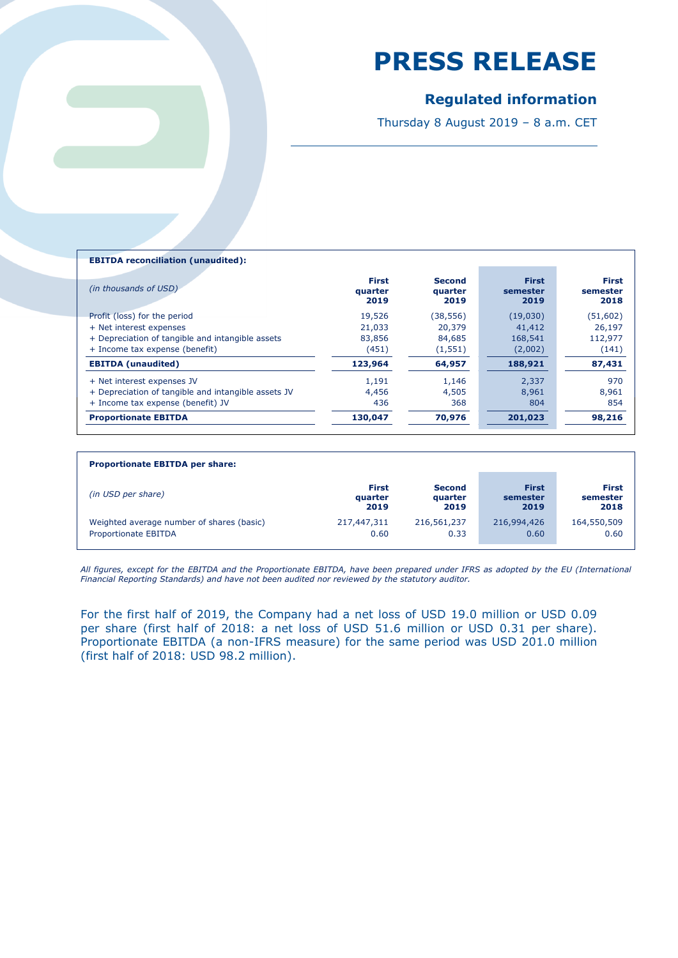## **Regulated information**

Thursday 8 August 2019 – 8 a.m. CET

| <b>EBITDA reconciliation (unaudited):</b>           |                                 |                                  |                                  |                                  |
|-----------------------------------------------------|---------------------------------|----------------------------------|----------------------------------|----------------------------------|
| (in thousands of USD)                               | <b>First</b><br>quarter<br>2019 | <b>Second</b><br>quarter<br>2019 | <b>First</b><br>semester<br>2019 | <b>First</b><br>semester<br>2018 |
| Profit (loss) for the period                        | 19,526                          | (38, 556)                        | (19,030)                         | (51, 602)                        |
| + Net interest expenses                             | 21,033                          | 20,379                           | 41,412                           | 26,197                           |
| + Depreciation of tangible and intangible assets    | 83,856                          | 84,685                           | 168,541                          | 112,977                          |
| + Income tax expense (benefit)                      | (451)                           | (1, 551)                         | (2,002)                          | (141)                            |
| <b>EBITDA</b> (unaudited)                           | 123,964                         | 64,957                           | 188,921                          | 87,431                           |
| + Net interest expenses JV                          | 1.191                           | 1,146                            | 2,337                            | 970                              |
| + Depreciation of tangible and intangible assets JV | 4,456                           | 4,505                            | 8,961                            | 8,961                            |
| + Income tax expense (benefit) JV                   | 436                             | 368                              | 804                              | 854                              |
| <b>Proportionate EBITDA</b>                         | 130,047                         | 70,976                           | 201,023                          | 98,216                           |

| <b>Proportionate EBITDA per share:</b>    |              |               |              |             |
|-------------------------------------------|--------------|---------------|--------------|-------------|
| (in USD per share)                        | <b>First</b> | <b>Second</b> | <b>First</b> | First       |
|                                           | quarter      | quarter       | semester     | semester    |
|                                           | 2019         | 2019          | 2019         | 2018        |
| Weighted average number of shares (basic) | 217,447,311  | 216,561,237   | 216,994,426  | 164,550,509 |
| Proportionate EBITDA                      | 0.60         | 0.33          | 0.60         | 0.60        |

*All figures, except for the EBITDA and the Proportionate EBITDA, have been prepared under IFRS as adopted by the EU (International Financial Reporting Standards) and have not been audited nor reviewed by the statutory auditor.*

For the first half of 2019, the Company had a net loss of USD 19.0 million or USD 0.09 per share (first half of 2018: a net loss of USD 51.6 million or USD 0.31 per share). Proportionate EBITDA (a non-IFRS measure) for the same period was USD 201.0 million (first half of 2018: USD 98.2 million).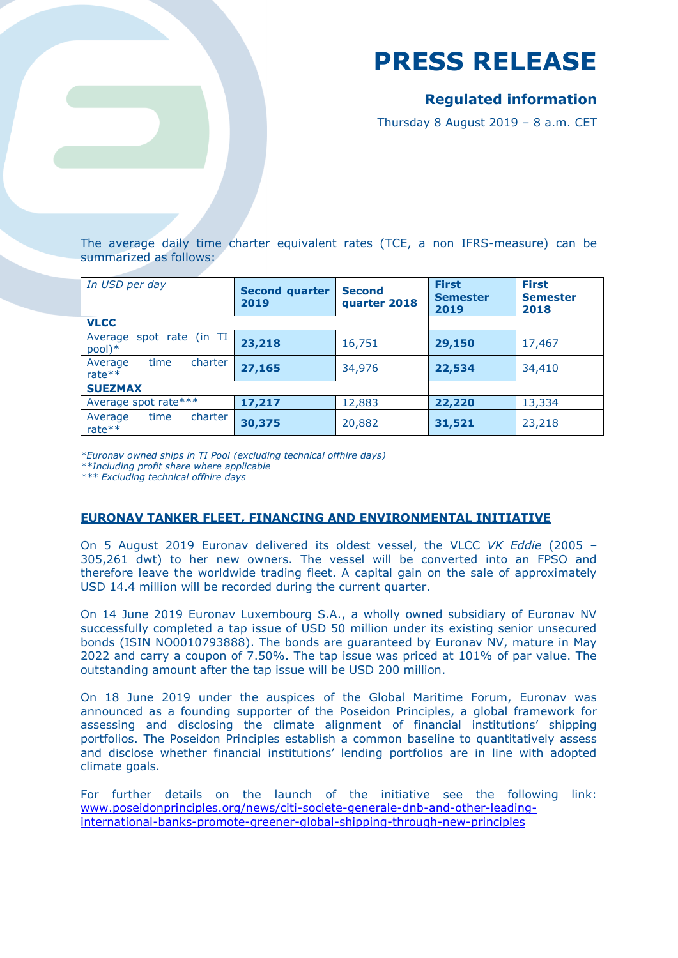## **Regulated information**

Thursday 8 August 2019 – 8 a.m. CET

The average daily time charter equivalent rates (TCE, a non IFRS-measure) can be summarized as follows:

| In USD per day                          | <b>Second quarter</b><br>2019 | <b>Second</b><br>quarter 2018 | <b>First</b><br><b>Semester</b><br>2019 | <b>First</b><br><b>Semester</b><br>2018 |
|-----------------------------------------|-------------------------------|-------------------------------|-----------------------------------------|-----------------------------------------|
| <b>VLCC</b>                             |                               |                               |                                         |                                         |
| spot rate (in TI<br>Average<br>$pool)*$ | 23,218                        | 16,751                        | 29,150                                  | 17,467                                  |
| time<br>charter<br>Average<br>rate**    | 27,165                        | 34,976                        | 22,534                                  | 34,410                                  |
| <b>SUEZMAX</b>                          |                               |                               |                                         |                                         |
| Average spot rate***                    | 17,217                        | 12,883                        | 22,220                                  | 13,334                                  |
| charter<br>time<br>Average<br>rate**    | 30,375                        | 20,882                        | 31,521                                  | 23,218                                  |

*\*Euronav owned ships in TI Pool (excluding technical offhire days) \*\*Including profit share where applicable*

*\*\*\* Excluding technical offhire days*

#### **EURONAV TANKER FLEET, FINANCING AND ENVIRONMENTAL INITIATIVE**

On 5 August 2019 Euronav delivered its oldest vessel, the VLCC *VK Eddie* (2005 – 305,261 dwt) to her new owners. The vessel will be converted into an FPSO and therefore leave the worldwide trading fleet. A capital gain on the sale of approximately USD 14.4 million will be recorded during the current quarter.

On 14 June 2019 Euronav Luxembourg S.A., a wholly owned subsidiary of Euronav NV successfully completed a tap issue of USD 50 million under its existing senior unsecured bonds (ISIN NO0010793888). The bonds are guaranteed by Euronav NV, mature in May 2022 and carry a coupon of 7.50%. The tap issue was priced at 101% of par value. The outstanding amount after the tap issue will be USD 200 million.

On 18 June 2019 under the auspices of the Global Maritime Forum, Euronav was announced as a founding supporter of the Poseidon Principles, a global framework for assessing and disclosing the climate alignment of financial institutions' shipping portfolios. The Poseidon Principles establish a common baseline to quantitatively assess and disclose whether financial institutions' lending portfolios are in line with adopted climate goals.

For further details on the launch of the initiative see the following link: [www.poseidonprinciples.org/news/citi-societe-generale-dnb-and-other-leading](http://www.poseidonprinciples.org/news/citi-societe-generale-dnb-and-other-leading-international-banks-promote-greener-global-shipping-through-new-principles)[international-banks-promote-greener-global-shipping-through-new-principles](http://www.poseidonprinciples.org/news/citi-societe-generale-dnb-and-other-leading-international-banks-promote-greener-global-shipping-through-new-principles)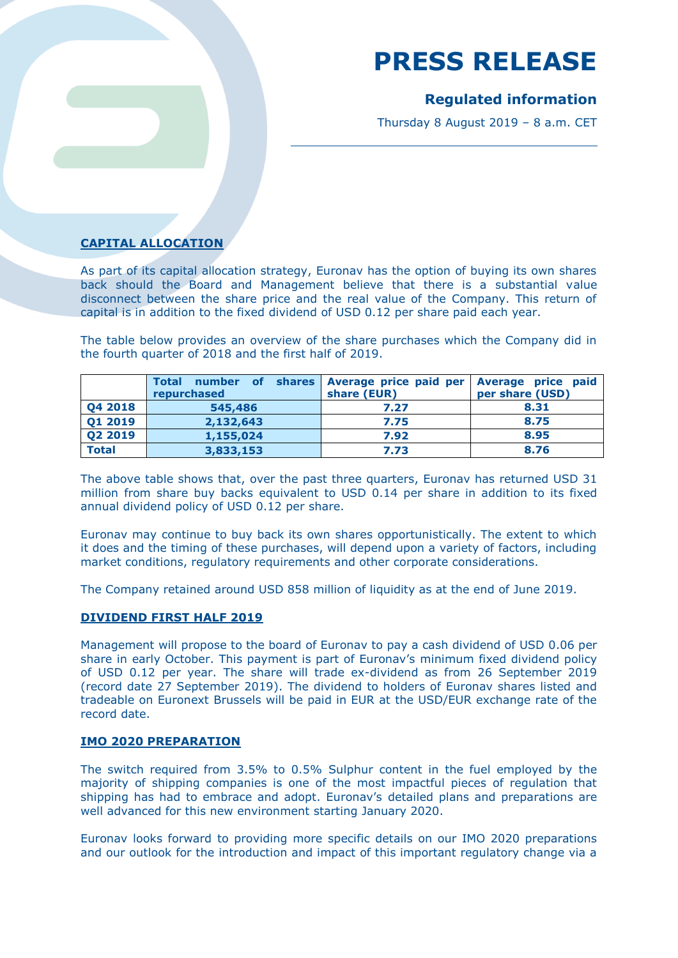## **Regulated information**

Thursday 8 August 2019 – 8 a.m. CET

### **CAPITAL ALLOCATION**

As part of its capital allocation strategy, Euronav has the option of buying its own shares back should the Board and Management believe that there is a substantial value disconnect between the share price and the real value of the Company. This return of capital is in addition to the fixed dividend of USD 0.12 per share paid each year.

The table below provides an overview of the share purchases which the Company did in the fourth quarter of 2018 and the first half of 2019.

|              | <b>Total</b><br>number of shares<br>repurchased | Average price paid per<br>share (EUR) | <b>Average price paid</b><br>per share (USD) |
|--------------|-------------------------------------------------|---------------------------------------|----------------------------------------------|
| Q4 2018      | 545,486                                         | 7.27                                  | 8.31                                         |
| Q1 2019      | 2,132,643                                       | 7.75                                  | 8.75                                         |
| Q2 2019      | 1,155,024                                       | 7.92                                  | 8.95                                         |
| <b>Total</b> | 3,833,153                                       | 7.73                                  | 8.76                                         |

The above table shows that, over the past three quarters, Euronav has returned USD 31 million from share buy backs equivalent to USD 0.14 per share in addition to its fixed annual dividend policy of USD 0.12 per share.

Euronav may continue to buy back its own shares opportunistically. The extent to which it does and the timing of these purchases, will depend upon a variety of factors, including market conditions, regulatory requirements and other corporate considerations.

The Company retained around USD 858 million of liquidity as at the end of June 2019.

#### **DIVIDEND FIRST HALF 2019**

Management will propose to the board of Euronav to pay a cash dividend of USD 0.06 per share in early October. This payment is part of Euronav's minimum fixed dividend policy of USD 0.12 per year. The share will trade ex-dividend as from 26 September 2019 (record date 27 September 2019). The dividend to holders of Euronav shares listed and tradeable on Euronext Brussels will be paid in EUR at the USD/EUR exchange rate of the record date.

#### **IMO 2020 PREPARATION**

The switch required from 3.5% to 0.5% Sulphur content in the fuel employed by the majority of shipping companies is one of the most impactful pieces of regulation that shipping has had to embrace and adopt. Euronav's detailed plans and preparations are well advanced for this new environment starting January 2020.

Euronav looks forward to providing more specific details on our IMO 2020 preparations and our outlook for the introduction and impact of this important regulatory change via a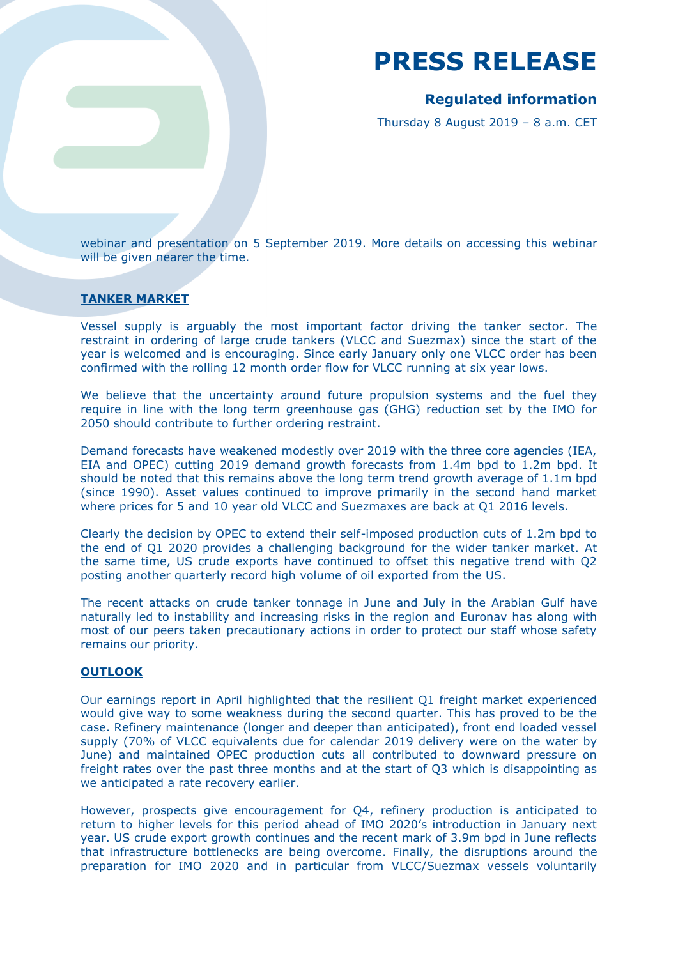## **Regulated information**

Thursday 8 August 2019 – 8 a.m. CET

webinar and presentation on 5 September 2019. More details on accessing this webinar will be given nearer the time.

#### **TANKER MARKET**

Vessel supply is arguably the most important factor driving the tanker sector. The restraint in ordering of large crude tankers (VLCC and Suezmax) since the start of the year is welcomed and is encouraging. Since early January only one VLCC order has been confirmed with the rolling 12 month order flow for VLCC running at six year lows.

We believe that the uncertainty around future propulsion systems and the fuel they require in line with the long term greenhouse gas (GHG) reduction set by the IMO for 2050 should contribute to further ordering restraint.

Demand forecasts have weakened modestly over 2019 with the three core agencies (IEA, EIA and OPEC) cutting 2019 demand growth forecasts from 1.4m bpd to 1.2m bpd. It should be noted that this remains above the long term trend growth average of 1.1m bpd (since 1990). Asset values continued to improve primarily in the second hand market where prices for 5 and 10 year old VLCC and Suezmaxes are back at Q1 2016 levels.

Clearly the decision by OPEC to extend their self-imposed production cuts of 1.2m bpd to the end of Q1 2020 provides a challenging background for the wider tanker market. At the same time, US crude exports have continued to offset this negative trend with Q2 posting another quarterly record high volume of oil exported from the US.

The recent attacks on crude tanker tonnage in June and July in the Arabian Gulf have naturally led to instability and increasing risks in the region and Euronav has along with most of our peers taken precautionary actions in order to protect our staff whose safety remains our priority.

#### **OUTLOOK**

Our earnings report in April highlighted that the resilient Q1 freight market experienced would give way to some weakness during the second quarter. This has proved to be the case. Refinery maintenance (longer and deeper than anticipated), front end loaded vessel supply (70% of VLCC equivalents due for calendar 2019 delivery were on the water by June) and maintained OPEC production cuts all contributed to downward pressure on freight rates over the past three months and at the start of Q3 which is disappointing as we anticipated a rate recovery earlier.

However, prospects give encouragement for Q4, refinery production is anticipated to return to higher levels for this period ahead of IMO 2020's introduction in January next year. US crude export growth continues and the recent mark of 3.9m bpd in June reflects that infrastructure bottlenecks are being overcome. Finally, the disruptions around the preparation for IMO 2020 and in particular from VLCC/Suezmax vessels voluntarily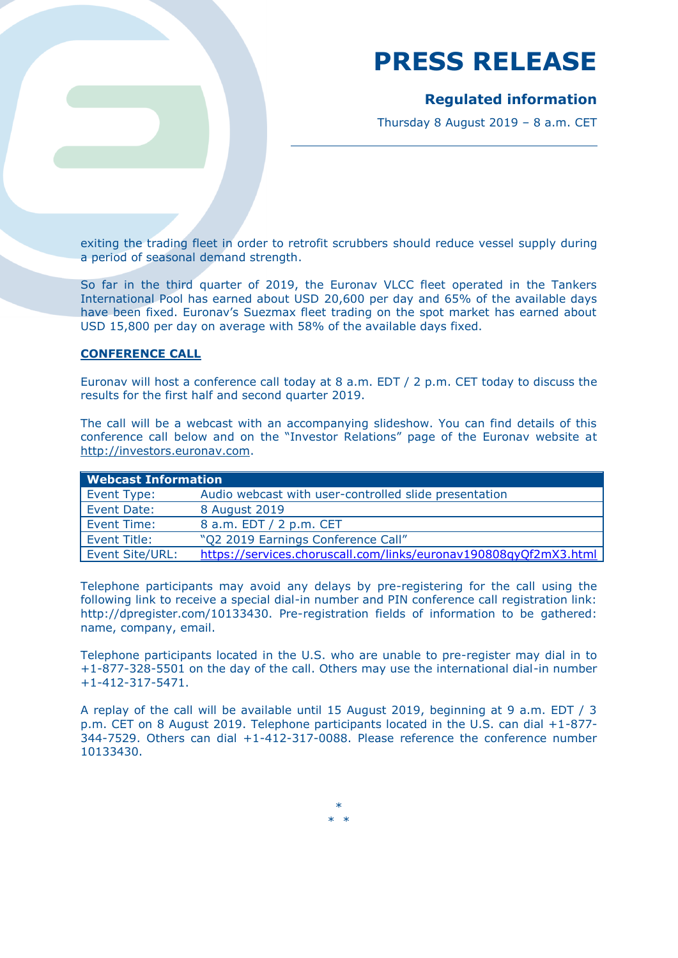### **Regulated information**

Thursday 8 August 2019 – 8 a.m. CET

exiting the trading fleet in order to retrofit scrubbers should reduce vessel supply during a period of seasonal demand strength.

So far in the third quarter of 2019, the Euronav VLCC fleet operated in the Tankers International Pool has earned about USD 20,600 per day and 65% of the available days have been fixed. Euronav's Suezmax fleet trading on the spot market has earned about USD 15,800 per day on average with 58% of the available days fixed.

#### **CONFERENCE CALL**

Euronav will host a conference call today at 8 a.m. EDT / 2 p.m. CET today to discuss the results for the first half and second quarter 2019.

The call will be a webcast with an accompanying slideshow. You can find details of this conference call below and on the "Investor Relations" page of the Euronav website at [http://investors.euronav.com.](http://investors.euronav.com/)

| $\parallel$ Webcast Information |                                                                  |  |  |  |  |
|---------------------------------|------------------------------------------------------------------|--|--|--|--|
| Event Type:                     | Audio webcast with user-controlled slide presentation            |  |  |  |  |
| Event Date:                     | 8 August 2019                                                    |  |  |  |  |
| <b>Event Time:</b>              | 8 a.m. EDT / 2 p.m. CET                                          |  |  |  |  |
| <b>Event Title:</b>             | "Q2 2019 Earnings Conference Call"                               |  |  |  |  |
| <b>Event Site/URL:</b>          | https://services.choruscall.com/links/euronav190808qyQf2mX3.html |  |  |  |  |

Telephone participants may avoid any delays by pre-registering for the call using the following link to receive a special dial-in number and PIN conference call registration link: http://dpregister.com/10133430. Pre-registration fields of information to be gathered: name, company, email.

Telephone participants located in the U.S. who are unable to pre-register may dial in to +1-877-328-5501 on the day of the call. Others may use the international dial-in number +1-412-317-5471.

A replay of the call will be available until 15 August 2019, beginning at 9 a.m. EDT / 3 p.m. CET on 8 August 2019. Telephone participants located in the U.S. can dial +1-877- 344-7529. Others can dial +1-412-317-0088. Please reference the conference number 10133430.

> \* \* \*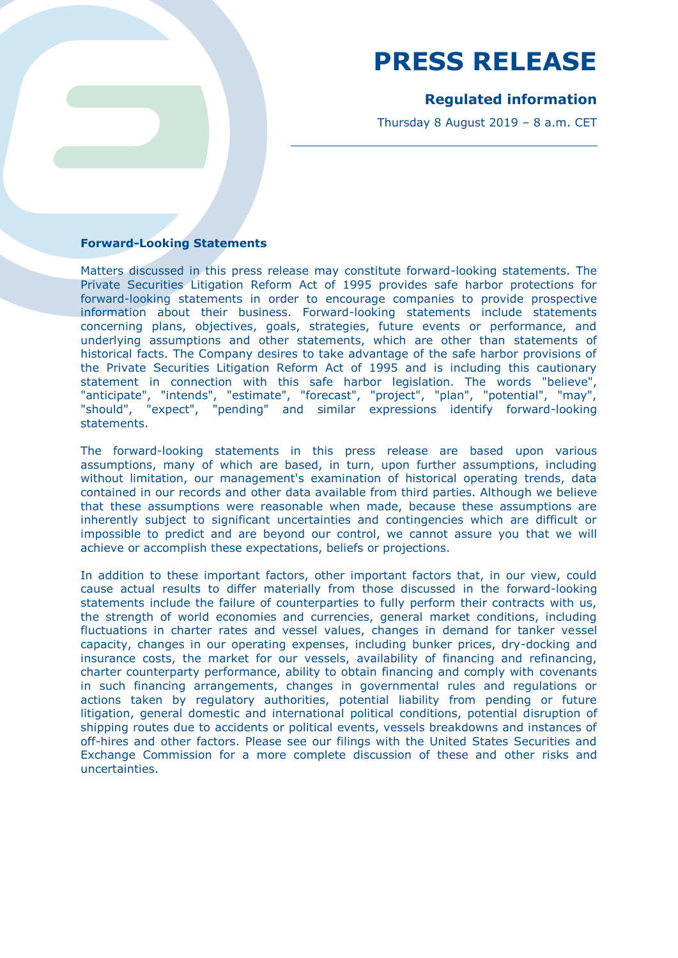### **Regulated information**

Thursday 8 August 2019 – 8 a.m. CET

### **Forward-Looking Statements**

Matters discussed in this press release may constitute forward-looking statements. The Private Securities Litigation Reform Act of 1995 provides safe harbor protections for forward-looking statements in order to encourage companies to provide prospective information about their business. Forward-looking statements include statements concerning plans, objectives, goals, strategies, future events or performance, and underlying assumptions and other statements, which are other than statements of historical facts. The Company desires to take advantage of the safe harbor provisions of the Private Securities Litigation Reform Act of 1995 and is including this cautionary statement in connection with this safe harbor legislation. The words "believe", "anticipate", "intends", "estimate", "forecast", "project", "plan", "potential", "may", "should", "expect", "pending" and similar expressions identify forward-looking statements.

The forward-looking statements in this press release are based upon various assumptions, many of which are based, in turn, upon further assumptions, including without limitation, our management's examination of historical operating trends, data contained in our records and other data available from third parties. Although we believe that these assumptions were reasonable when made, because these assumptions are inherently subject to significant uncertainties and contingencies which are difficult or impossible to predict and are beyond our control, we cannot assure you that we will achieve or accomplish these expectations, beliefs or projections.

In addition to these important factors, other important factors that, in our view, could cause actual results to differ materially from those discussed in the forward-looking statements include the failure of counterparties to fully perform their contracts with us, the strength of world economies and currencies, general market conditions, including fluctuations in charter rates and vessel values, changes in demand for tanker vessel capacity, changes in our operating expenses, including bunker prices, dry-docking and insurance costs, the market for our vessels, availability of financing and refinancing, charter counterparty performance, ability to obtain financing and comply with covenants in such financing arrangements, changes in governmental rules and regulations or actions taken by regulatory authorities, potential liability from pending or future litigation, general domestic and international political conditions, potential disruption of shipping routes due to accidents or political events, vessels breakdowns and instances of off-hires and other factors. Please see our filings with the United States Securities and Exchange Commission for a more complete discussion of these and other risks and uncertainties.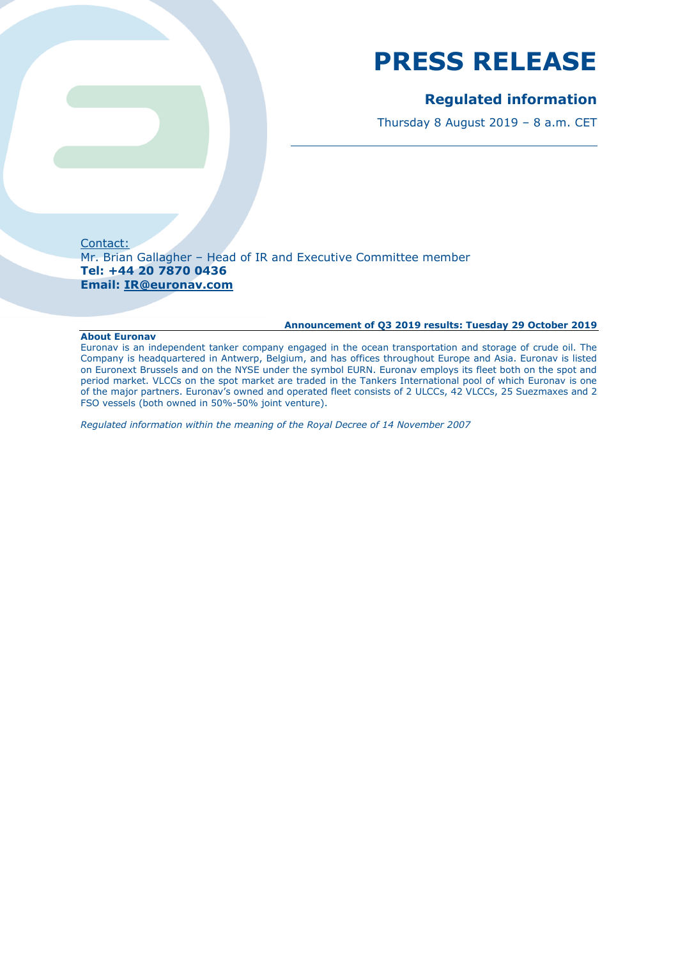### **Regulated information**

Thursday 8 August 2019 – 8 a.m. CET

Contact: Mr. Brian Gallagher – Head of IR and Executive Committee member **Tel: +44 20 7870 0436 Email: [IR@euronav.com](mailto:IR@euronav.com)**

#### **Announcement of Q3 2019 results: Tuesday 29 October 2019**

#### **About Euronav**

Euronav is an independent tanker company engaged in the ocean transportation and storage of crude oil. The Company is headquartered in Antwerp, Belgium, and has offices throughout Europe and Asia. Euronav is listed on Euronext Brussels and on the NYSE under the symbol EURN. Euronav employs its fleet both on the spot and period market. VLCCs on the spot market are traded in the Tankers International pool of which Euronav is one of the major partners. Euronav's owned and operated fleet consists of 2 ULCCs, 42 VLCCs, 25 Suezmaxes and 2 FSO vessels (both owned in 50%-50% joint venture).

*Regulated information within the meaning of the Royal Decree of 14 November 2007*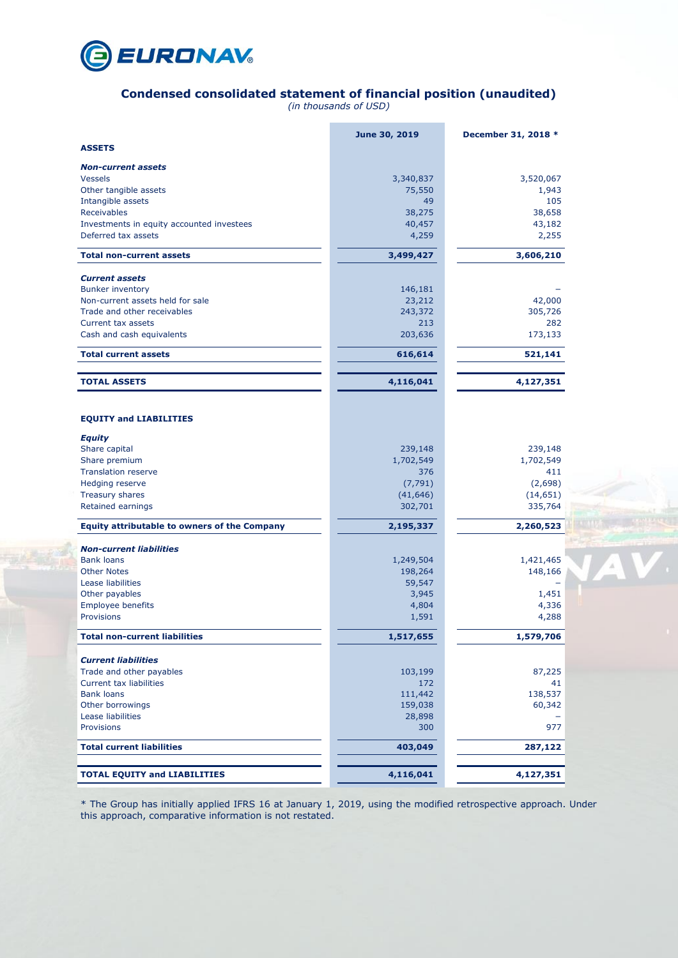

#### **Condensed consolidated statement of financial position (unaudited)**

*(in thousands of USD)*

|                                                     | June 30, 2019  | December 31, 2018 * |
|-----------------------------------------------------|----------------|---------------------|
| <b>ASSETS</b>                                       |                |                     |
| <b>Non-current assets</b>                           |                |                     |
| <b>Vessels</b>                                      | 3,340,837      | 3,520,067           |
| Other tangible assets                               | 75,550         | 1,943               |
| Intangible assets                                   | 49             | 105                 |
| Receivables                                         | 38,275         | 38,658              |
| Investments in equity accounted investees           | 40,457         | 43,182              |
| Deferred tax assets                                 | 4,259          | 2,255               |
| <b>Total non-current assets</b>                     | 3,499,427      | 3,606,210           |
| <b>Current assets</b>                               |                |                     |
| <b>Bunker inventory</b>                             | 146,181        |                     |
| Non-current assets held for sale                    | 23,212         | 42,000              |
| Trade and other receivables                         | 243,372        | 305,726             |
| Current tax assets                                  | 213            | 282                 |
| Cash and cash equivalents                           | 203,636        | 173,133             |
|                                                     |                |                     |
| <b>Total current assets</b>                         | 616,614        | 521,141             |
| <b>TOTAL ASSETS</b>                                 | 4,116,041      | 4,127,351           |
|                                                     |                |                     |
| <b>EQUITY and LIABILITIES</b>                       |                |                     |
| <b>Equity</b>                                       |                |                     |
| Share capital                                       | 239,148        | 239,148             |
| Share premium                                       | 1,702,549      | 1,702,549           |
| <b>Translation reserve</b>                          | 376            | 411                 |
| Hedging reserve                                     | (7, 791)       | (2,698)             |
| <b>Treasury shares</b>                              | (41, 646)      | (14, 651)           |
| Retained earnings                                   | 302,701        | 335,764             |
| <b>Equity attributable to owners of the Company</b> | 2,195,337      | 2,260,523           |
| <b>Non-current liabilities</b>                      |                |                     |
| <b>Bank loans</b>                                   | 1,249,504      | 1,421,465           |
| <b>Other Notes</b>                                  | 198,264        | 148,166             |
| Lease liabilities                                   | 59,547         |                     |
| Other payables                                      | 3,945          | 1,451               |
| Employee benefits                                   | 4,804          | 4,336               |
| Provisions                                          | 1,591          | 4,288               |
| <b>Total non-current liabilities</b>                | 1,517,655      | 1,579,706           |
|                                                     |                |                     |
| <b>Current liabilities</b>                          |                |                     |
| Trade and other payables<br>Current tax liabilities | 103,199<br>172 | 87,225<br>41        |
| <b>Bank loans</b>                                   | 111,442        | 138,537             |
| Other borrowings                                    | 159,038        | 60,342              |
| Lease liabilities                                   | 28,898         |                     |
| Provisions                                          | 300            | 977                 |
| <b>Total current liabilities</b>                    | 403,049        | 287,122             |
|                                                     |                |                     |
| <b>TOTAL EQUITY and LIABILITIES</b>                 | 4,116,041      | 4,127,351           |

\* The Group has initially applied IFRS 16 at January 1, 2019, using the modified retrospective approach. Under this approach, comparative information is not restated.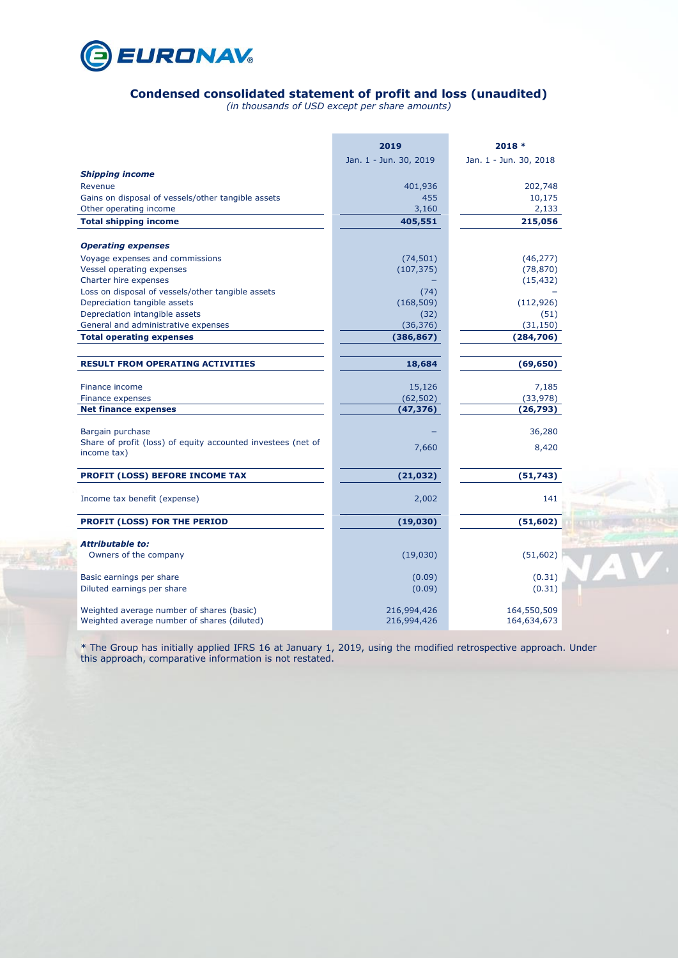

## **Condensed consolidated statement of profit and loss (unaudited)**

*(in thousands of USD except per share amounts)*

|                                                              | 2019                   | $2018*$                |
|--------------------------------------------------------------|------------------------|------------------------|
|                                                              | Jan. 1 - Jun. 30, 2019 | Jan. 1 - Jun. 30, 2018 |
| <b>Shipping income</b>                                       |                        |                        |
| Revenue                                                      | 401,936                | 202,748                |
| Gains on disposal of vessels/other tangible assets           | 455                    | 10,175                 |
| Other operating income                                       | 3,160                  | 2,133                  |
| <b>Total shipping income</b>                                 | 405,551                | 215,056                |
|                                                              |                        |                        |
| <b>Operating expenses</b>                                    |                        |                        |
| Voyage expenses and commissions                              | (74, 501)              | (46, 277)              |
| Vessel operating expenses                                    | (107, 375)             | (78, 870)              |
| Charter hire expenses                                        |                        | (15, 432)              |
| Loss on disposal of vessels/other tangible assets            | (74)                   |                        |
| Depreciation tangible assets                                 | (168, 509)             | (112, 926)             |
| Depreciation intangible assets                               | (32)                   | (51)                   |
| General and administrative expenses                          | (36, 376)              | (31, 150)              |
| <b>Total operating expenses</b>                              | (386, 867)             | (284,706)              |
|                                                              |                        |                        |
| <b>RESULT FROM OPERATING ACTIVITIES</b>                      | 18,684                 | (69, 650)              |
|                                                              |                        |                        |
| Finance income                                               | 15,126                 | 7,185                  |
| Finance expenses                                             | (62, 502)              | (33,978)               |
| <b>Net finance expenses</b>                                  | (47, 376)              | (26, 793)              |
| Bargain purchase                                             |                        | 36,280                 |
| Share of profit (loss) of equity accounted investees (net of | 7,660                  | 8,420                  |
| income tax)                                                  |                        |                        |
|                                                              |                        |                        |
| PROFIT (LOSS) BEFORE INCOME TAX                              | (21, 032)              | (51, 743)              |
| Income tax benefit (expense)                                 | 2,002                  | 141                    |
|                                                              |                        |                        |
| PROFIT (LOSS) FOR THE PERIOD                                 | (19,030)               | (51, 602)              |
|                                                              |                        |                        |
| <b>Attributable to:</b>                                      |                        |                        |
| Owners of the company                                        | (19,030)               | (51,602)               |
| Basic earnings per share                                     | (0.09)                 | (0.31)                 |
| Diluted earnings per share                                   | (0.09)                 | (0.31)                 |
|                                                              |                        |                        |
| Weighted average number of shares (basic)                    | 216,994,426            | 164,550,509            |
| Weighted average number of shares (diluted)                  | 216,994,426            | 164,634,673            |

\* The Group has initially applied IFRS 16 at January 1, 2019, using the modified retrospective approach. Under this approach, comparative information is not restated.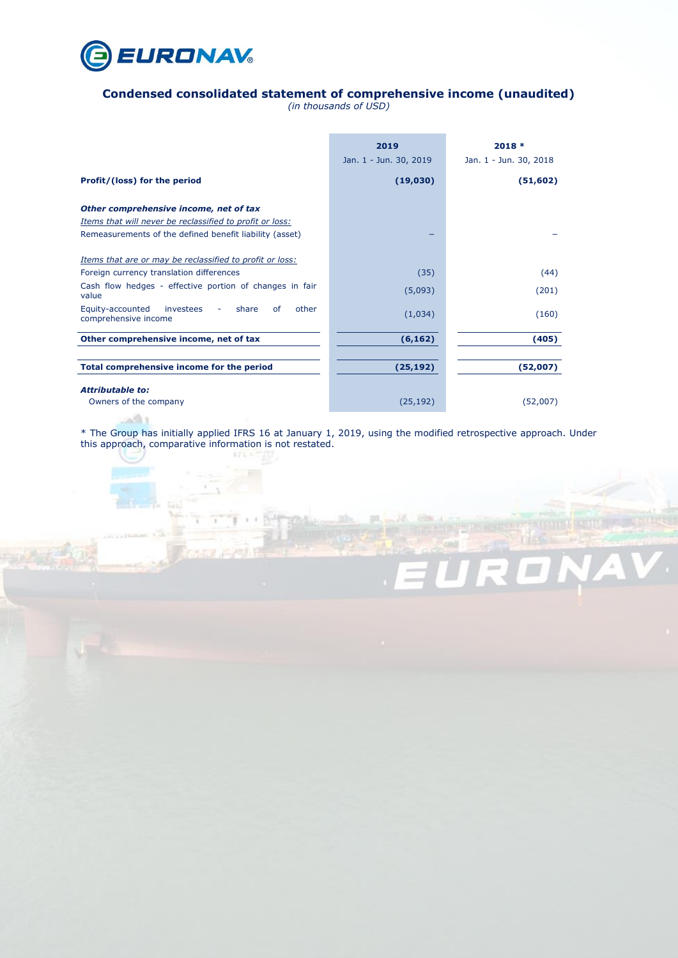

 $\mathbb{A}$ 

## **Condensed consolidated statement of comprehensive income (unaudited)**

*(in thousands of USD)*

| 2019                   | $2018*$                |
|------------------------|------------------------|
| Jan. 1 - Jun. 30, 2019 | Jan. 1 - Jun. 30, 2018 |
| (19,030)               | (51, 602)              |
|                        |                        |
|                        |                        |
|                        |                        |
| (35)                   | (44)                   |
| (5,093)                | (201)                  |
| (1,034)                | (160)                  |
| (6, 162)               | (405)                  |
|                        |                        |
| (25, 192)              | (52,007)               |
| (25, 192)              | (52,007)               |
|                        |                        |

\* The Group has initially applied IFRS 16 at January 1, 2019, using the modified retrospective approach. Under this approach, comparative information is not restated.

EZ1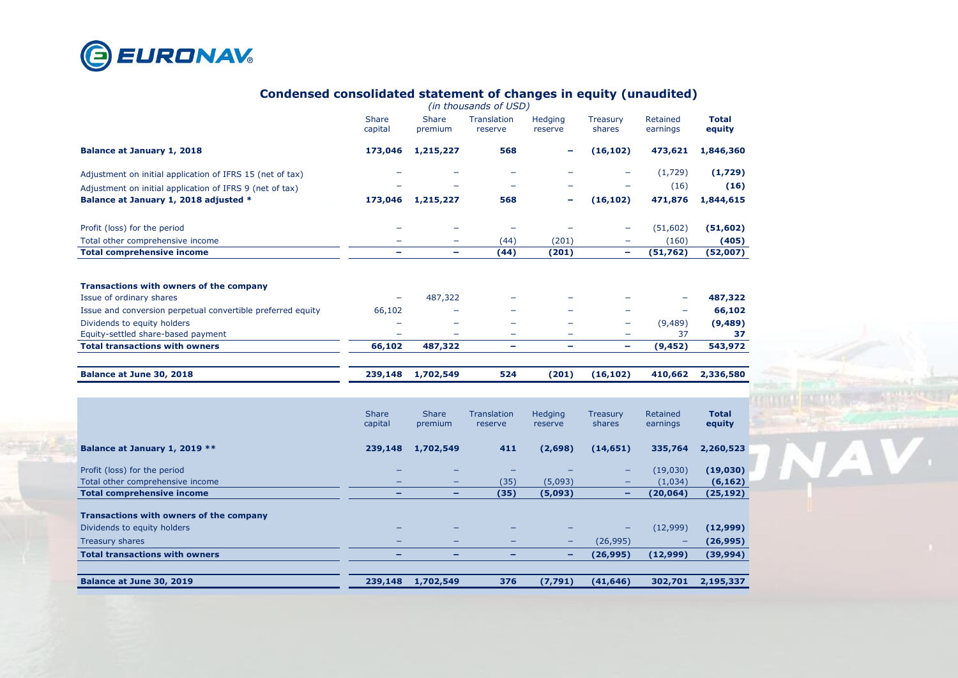

#### **Condensed consolidated statement of changes in equity (unaudited)**

**NAV.** 

|                                                                   |                         |                          | (in thousands of USD)         |                              |                               |                      |                        |  |
|-------------------------------------------------------------------|-------------------------|--------------------------|-------------------------------|------------------------------|-------------------------------|----------------------|------------------------|--|
|                                                                   | <b>Share</b><br>capital | <b>Share</b><br>premium  | <b>Translation</b><br>reserve | Hedging<br>reserve           | <b>Treasury</b><br>shares     | Retained<br>earnings | <b>Total</b><br>equity |  |
| <b>Balance at January 1, 2018</b>                                 | 173,046                 | 1,215,227                | 568                           |                              | (16, 102)                     | 473,621              | 1,846,360              |  |
| Adjustment on initial application of IFRS 15 (net of tax)         |                         |                          | $\overline{\phantom{m}}$      | $\overline{\phantom{0}}$     |                               | (1,729)              | (1,729)                |  |
| Adjustment on initial application of IFRS 9 (net of tax)          |                         |                          |                               |                              |                               | (16)                 | (16)                   |  |
| Balance at January 1, 2018 adjusted *                             | 173,046                 | 1,215,227                | 568                           |                              | (16, 102)                     | 471,876              | 1,844,615              |  |
| Profit (loss) for the period                                      |                         | $\overline{\phantom{0}}$ | $\overline{\phantom{0}}$      |                              | $\overline{\phantom{0}}$      | (51,602)             | (51, 602)              |  |
| Total other comprehensive income                                  | ۰                       | -                        | (44)                          | (201)                        | -                             | (160)                | (405)                  |  |
| <b>Total comprehensive income</b>                                 |                         |                          | (44)                          | (201)                        | -                             | (51, 762)            | (52,007)               |  |
| <b>Transactions with owners of the company</b>                    |                         |                          |                               |                              |                               |                      |                        |  |
| Issue of ordinary shares                                          |                         | 487,322                  |                               |                              |                               |                      | 487,322                |  |
| Issue and conversion perpetual convertible preferred equity       | 66,102                  |                          |                               |                              |                               |                      | 66,102                 |  |
| Dividends to equity holders<br>Equity-settled share-based payment | ÷,<br>÷                 | ÷                        | -<br>$\overline{\phantom{0}}$ |                              | $\overline{\phantom{0}}$<br>÷ | (9,489)<br>37        | (9,489)<br>37          |  |
| <b>Total transactions with owners</b>                             | 66,102                  | 487,322                  | $\qquad \qquad \blacksquare$  | $\qquad \qquad \blacksquare$ | -                             | (9, 452)             | 543,972                |  |
|                                                                   |                         |                          |                               |                              |                               |                      |                        |  |
| Balance at June 30, 2018                                          | 239,148                 | 1,702,549                | 524                           | (201)                        | (16, 102)                     | 410,662              | 2,336,580              |  |
|                                                                   |                         |                          |                               |                              |                               |                      |                        |  |
|                                                                   | <b>Share</b><br>capital | <b>Share</b><br>premium  | <b>Translation</b><br>reserve | Hedging<br>reserve           | <b>Treasury</b><br>shares     | Retained<br>earnings | <b>Total</b><br>equity |  |
| Balance at January 1, 2019 **                                     | 239,148                 | 1,702,549                | 411                           | (2,698)                      | (14, 651)                     | 335,764              | 2,260,523              |  |
| Profit (loss) for the period                                      |                         |                          | $\qquad \qquad -$             |                              | -                             | (19,030)             | (19,030)               |  |
| Total other comprehensive income                                  |                         |                          | (35)                          | (5,093)                      |                               | (1,034)              | (6, 162)               |  |
| <b>Total comprehensive income</b>                                 |                         |                          | (35)                          | (5,093)                      |                               | (20, 064)            | (25, 192)              |  |
| <b>Transactions with owners of the company</b>                    |                         |                          |                               |                              |                               |                      |                        |  |
| Dividends to equity holders                                       |                         |                          |                               |                              |                               | (12,999)             | (12,999)               |  |
| <b>Treasury shares</b>                                            |                         |                          |                               |                              | (26, 995)                     |                      | (26, 995)              |  |
| <b>Total transactions with owners</b>                             | -                       | $\overline{\phantom{0}}$ | $\overline{\phantom{0}}$      | -                            | (26, 995)                     | (12,999)             | (39, 994)              |  |
|                                                                   |                         |                          |                               |                              |                               |                      |                        |  |
| Balance at June 30, 2019                                          | 239,148                 | 1,702,549                | 376                           | (7, 791)                     | (41, 646)                     | 302,701              | 2,195,337              |  |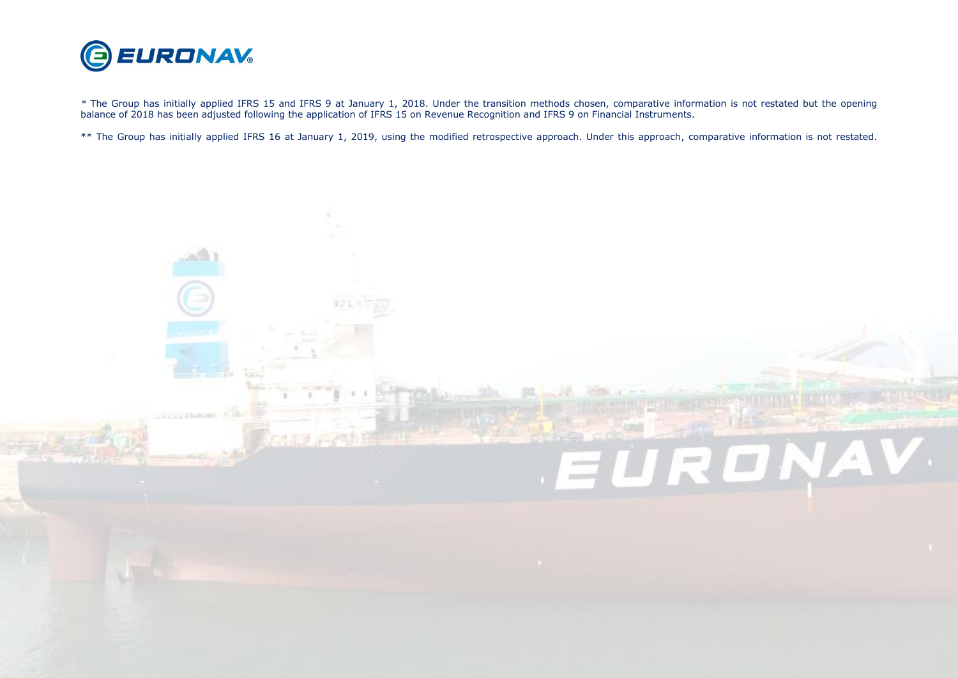

**Carolinaces** C.B.

水泥湖 运动线

*\** The Group has initially applied IFRS 15 and IFRS 9 at January 1, 2018. Under the transition methods chosen, comparative information is not restated but the opening balance of 2018 has been adjusted following the application of IFRS 15 on Revenue Recognition and IFRS 9 on Financial Instruments.

\*\* The Group has initially applied IFRS 16 at January 1, 2019, using the modified retrospective approach. Under this approach, comparative information is not restated.

URONA